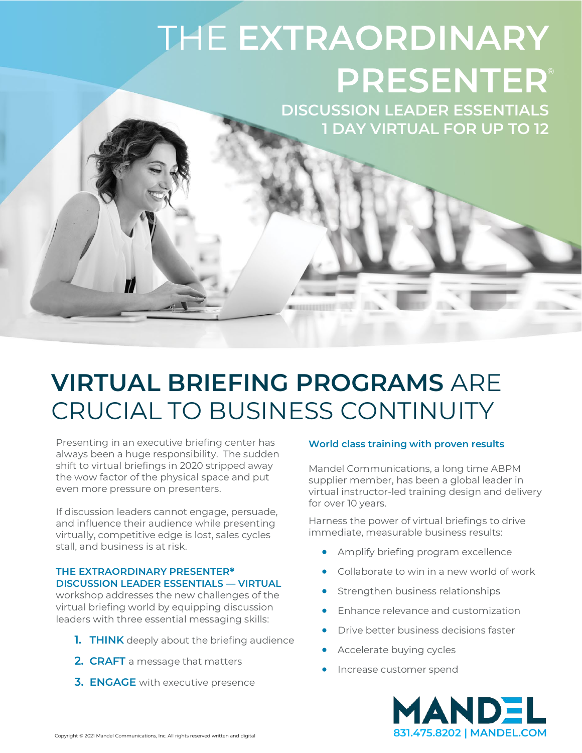# THE **EXTRAORDINARY PRESENTER** ®

**DISCUSSION LEADER ESSENTIALS 1 DAY VIRTUAL FOR UP TO 12**

## **VIRTUAL BRIEFING PROGRAMS** ARE CRUCIAL TO BUSINESS CONTINUITY

Presenting in an executive briefing center has always been a huge responsibility. The sudden shift to virtual briefings in 2020 stripped away the wow factor of the physical space and put even more pressure on presenters.

If discussion leaders cannot engage, persuade, and influence their audience while presenting virtually, competitive edge is lost, sales cycles stall, and business is at risk.

#### **THE EXTRAORDINARY PRESENTER® DISCUSSION LEADER ESSENTIALS — VIRTUAL**

workshop addresses the new challenges of the virtual briefing world by equipping discussion leaders with three essential messaging skills:

- **1. THINK** deeply about the briefing audience
- **2. CRAFT** a message that matters
- **3. ENGAGE** with executive presence

#### **World class training with proven results**

Mandel Communications, a long time ABPM supplier member, has been a global leader in virtual instructor-led training design and delivery for over 10 years.

Harness the power of virtual briefings to drive immediate, measurable business results:

- Amplify briefing program excellence
- Collaborate to win in a new world of work
- Strengthen business relationships
- Enhance relevance and customization
- Drive better business decisions faster
- Accelerate buying cycles
- Increase customer spend